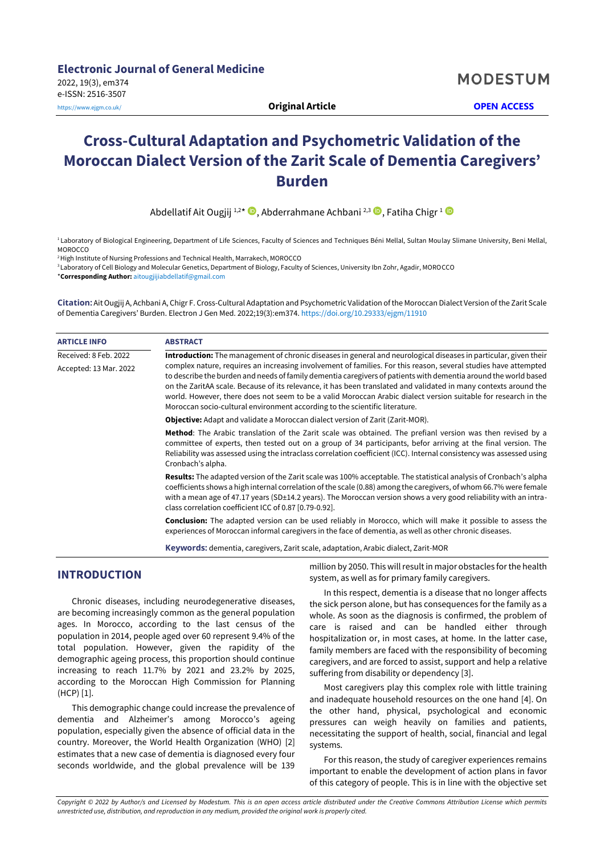# **Cross-Cultural Adaptation and Psychometric Validation of the Moroccan Dialect Version of the Zarit Scale of Dementia Caregivers' Burden**

Abdellatif Ait Ougjij 1,2 \* [,](https://orcid.org/0000-0002-0920-147X) Abderrahmane Achbani 2,3 , Fatiha Chigr <sup>1</sup>

<sup>1</sup> Laboratory of Biological Engineering, Department of Life Sciences, Faculty of Sciences and Techniques Béni Mellal, Sultan Moulay Slimane University, Beni Mellal, **MOROCCO** 

<sup>2</sup> High Institute of Nursing Professions and Technical Health, Marrakech, MOROCCO

<sup>3</sup> Laboratory of Cell Biology and Molecular Genetics, Department of Biology, Faculty of Sciences, University Ibn Zohr, Agadir, MOROCCO

\***Corresponding Author:** [aitougjijiabdellatif@gmail.com](mailto:aitougjijiabdellatif@gmail.com)

**Citation:** Ait Ougjij A, Achbani A, Chigr F. Cross-Cultural Adaptation and Psychometric Validation of the Moroccan Dialect Version of the Zarit Scale of Dementia Caregivers' Burden. Electron J Gen Med. 2022;19(3):em374. <https://doi.org/10.29333/ejgm/11910>

| <b>ARTICLE INFO</b>    | <b>ABSTRACT</b>                                                                                                                                                                                                                                                                                                                                                                                                                                                                                                                                         |  |  |  |  |  |
|------------------------|---------------------------------------------------------------------------------------------------------------------------------------------------------------------------------------------------------------------------------------------------------------------------------------------------------------------------------------------------------------------------------------------------------------------------------------------------------------------------------------------------------------------------------------------------------|--|--|--|--|--|
| Received: 8 Feb. 2022  | Introduction: The management of chronic diseases in general and neurological diseases in particular, given their                                                                                                                                                                                                                                                                                                                                                                                                                                        |  |  |  |  |  |
| Accepted: 13 Mar. 2022 | complex nature, requires an increasing involvement of families. For this reason, several studies have attempted<br>to describe the burden and needs of family dementia caregivers of patients with dementia around the world based<br>on the ZaritAA scale. Because of its relevance, it has been translated and validated in many contexts around the<br>world. However, there does not seem to be a valid Moroccan Arabic dialect version suitable for research in the<br>Moroccan socio-cultural environment according to the scientific literature. |  |  |  |  |  |
|                        | <b>Objective:</b> Adapt and validate a Moroccan dialect version of Zarit (Zarit-MOR).                                                                                                                                                                                                                                                                                                                                                                                                                                                                   |  |  |  |  |  |
|                        | Method: The Arabic translation of the Zarit scale was obtained. The prefianl version was then revised by a<br>committee of experts, then tested out on a group of 34 participants, befor arriving at the final version. The<br>Reliability was assessed using the intraclass correlation coefficient (ICC). Internal consistency was assessed using<br>Cronbach's alpha.                                                                                                                                                                                |  |  |  |  |  |
|                        | <b>Results:</b> The adapted version of the Zarit scale was 100% acceptable. The statistical analysis of Cronbach's alpha<br>coefficients shows a high internal correlation of the scale (0.88) among the caregivers, of whom 66.7% were female<br>with a mean age of 47.17 years (SD±14.2 years). The Moroccan version shows a very good reliability with an intra-<br>class correlation coefficient ICC of 0.87 [0.79-0.92].                                                                                                                           |  |  |  |  |  |
|                        | Conclusion: The adapted version can be used reliably in Morocco, which will make it possible to assess the<br>experiences of Moroccan informal caregivers in the face of dementia, as well as other chronic diseases.                                                                                                                                                                                                                                                                                                                                   |  |  |  |  |  |
|                        |                                                                                                                                                                                                                                                                                                                                                                                                                                                                                                                                                         |  |  |  |  |  |

**Keywords:** dementia, caregivers, Zarit scale, adaptation, Arabic dialect, Zarit-MOR

# **INTRODUCTION**

Chronic diseases, including neurodegenerative diseases, are becoming increasingly common as the general population ages. In Morocco, according to the last census of the population in 2014, people aged over 60 represent 9.4% of the total population. However, given the rapidity of the demographic ageing process, this proportion should continue increasing to reach 11.7% by 2021 and 23.2% by 2025, according to the Moroccan High Commission for Planning (HCP) [1].

This demographic change could increase the prevalence of dementia and Alzheimer's among Morocco's ageing population, especially given the absence of official data in the country. Moreover, the World Health Organization (WHO) [2] estimates that a new case of dementia is diagnosed every four seconds worldwide, and the global prevalence will be 139

million by 2050. This will result in major obstacles for the health system, as well as for primary family caregivers.

In this respect, dementia is a disease that no longer affects the sick person alone, but has consequences for the family as a whole. As soon as the diagnosis is confirmed, the problem of care is raised and can be handled either through hospitalization or, in most cases, at home. In the latter case, family members are faced with the responsibility of becoming caregivers, and are forced to assist, support and help a relative suffering from disability or dependency [3].

Most caregivers play this complex role with little training and inadequate household resources on the one hand [4]. On the other hand, physical, psychological and economic pressures can weigh heavily on families and patients, necessitating the support of health, social, financial and legal systems.

For this reason, the study of caregiver experiences remains important to enable the development of action plans in favor of this category of people. This is in line with the objective set

*Copyright © 2022 by Author/s and Licensed by Modestum. This is an open access article distributed under the Creative Commons Attribution License which permits unrestricted use, distribution, and reproduction in any medium, provided the original work is properly cited.*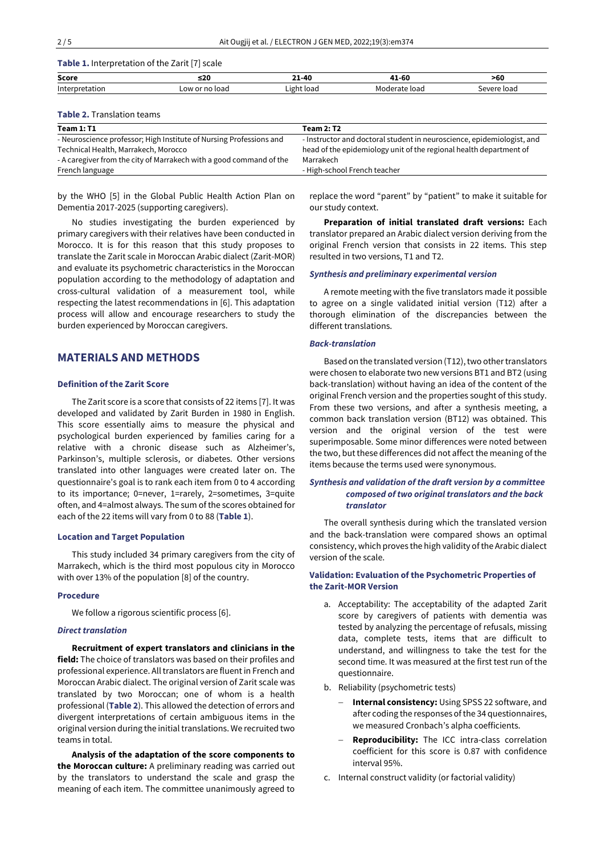| Table 1. Interpretation of the Zarit [7] scale |  |  |  |
|------------------------------------------------|--|--|--|
|------------------------------------------------|--|--|--|

| <b>Score</b>       | ≤20         | $21 - 40$   | 41-60     | >60             |
|--------------------|-------------|-------------|-----------|-----------------|
| lnter <sup>,</sup> | uudu<br>___ | ' ight load | loao<br>1 | load<br>م رهبره |
|                    |             |             |           |                 |

#### **Table 2.** Translation teams

| <b>Team 1: T1</b>                                                   | <b>Team 2: T2</b>                                                      |
|---------------------------------------------------------------------|------------------------------------------------------------------------|
| - Neuroscience professor; High Institute of Nursing Professions and | - Instructor and doctoral student in neuroscience, epidemiologist, and |
| Technical Health, Marrakech, Morocco                                | head of the epidemiology unit of the regional health department of     |
| - A caregiver from the city of Marrakech with a good command of the | Marrakech                                                              |
| French language                                                     | - High-school French teacher                                           |

by the WHO [5] in the Global Public Health Action Plan on Dementia 2017-2025 (supporting caregivers).

No studies investigating the burden experienced by primary caregivers with their relatives have been conducted in Morocco. It is for this reason that this study proposes to translate the Zarit scale in Moroccan Arabic dialect (Zarit-MOR) and evaluate its psychometric characteristics in the Moroccan population according to the methodology of adaptation and cross-cultural validation of a measurement tool, while respecting the latest recommendations in [6]. This adaptation process will allow and encourage researchers to study the burden experienced by Moroccan caregivers.

# **MATERIALS AND METHODS**

## **Definition of the Zarit Score**

The Zarit score is a score that consists of 22 items [7]. It was developed and validated by Zarit Burden in 1980 in English. This score essentially aims to measure the physical and psychological burden experienced by families caring for a relative with a chronic disease such as Alzheimer's, Parkinson's, multiple sclerosis, or diabetes. Other versions translated into other languages were created later on. The questionnaire's goal is to rank each item from 0 to 4 according to its importance; 0=never, 1=rarely, 2=sometimes, 3=quite often, and 4=almost always. The sum of the scores obtained for each of the 22 items will vary from 0 to 88 (**Table 1**).

#### **Location and Target Population**

This study included 34 primary caregivers from the city of Marrakech, which is the third most populous city in Morocco with over 13% of the population [8] of the country.

# **Procedure**

We follow a rigorous scientific process [6].

# *Direct translation*

**Recruitment of expert translators and clinicians in the field:** The choice of translators was based on their profiles and professional experience. All translators are fluent in French and Moroccan Arabic dialect. The original version of Zarit scale was translated by two Moroccan; one of whom is a health professional (**Table 2**). This allowed the detection of errors and divergent interpretations of certain ambiguous items in the original version during the initial translations. We recruited two teams in total.

**Analysis of the adaptation of the score components to the Moroccan culture:** A preliminary reading was carried out by the translators to understand the scale and grasp the meaning of each item. The committee unanimously agreed to

replace the word "parent" by "patient" to make it suitable for our study context.

**Preparation of initial translated draft versions:** Each translator prepared an Arabic dialect version deriving from the original French version that consists in 22 items. This step resulted in two versions, T1 and T2.

## *Synthesis and preliminary experimental version*

A remote meeting with the five translators made it possible to agree on a single validated initial version (T12) after a thorough elimination of the discrepancies between the different translations.

#### *Back-translation*

Based on the translated version (T12), two other translators were chosen to elaborate two new versions BT1 and BT2 (using back-translation) without having an idea of the content of the original French version and the properties sought of this study. From these two versions, and after a synthesis meeting, a common back translation version (BT12) was obtained. This version and the original version of the test were superimposable. Some minor differences were noted between the two, but these differences did not affect the meaning of the items because the terms used were synonymous.

# *Synthesis and validation of the draft version by a committee composed of two original translators and the back translator*

The overall synthesis during which the translated version and the back-translation were compared shows an optimal consistency, which proves the high validity of the Arabic dialect version of the scale.

# **Validation: Evaluation of the Psychometric Properties of the Zarit-MOR Version**

- a. Acceptability: The acceptability of the adapted Zarit score by caregivers of patients with dementia was tested by analyzing the percentage of refusals, missing data, complete tests, items that are difficult to understand, and willingness to take the test for the second time. It was measured at the first test run of the questionnaire.
- b. Reliability (psychometric tests)
	- − **Internal consistency:** Using SPSS 22 software, and after coding the responses of the 34 questionnaires, we measured Cronbach's alpha coefficients.
	- − **Reproducibility:** The ICC intra-class correlation coefficient for this score is 0.87 with confidence interval 95%.
- c. Internal construct validity (or factorial validity)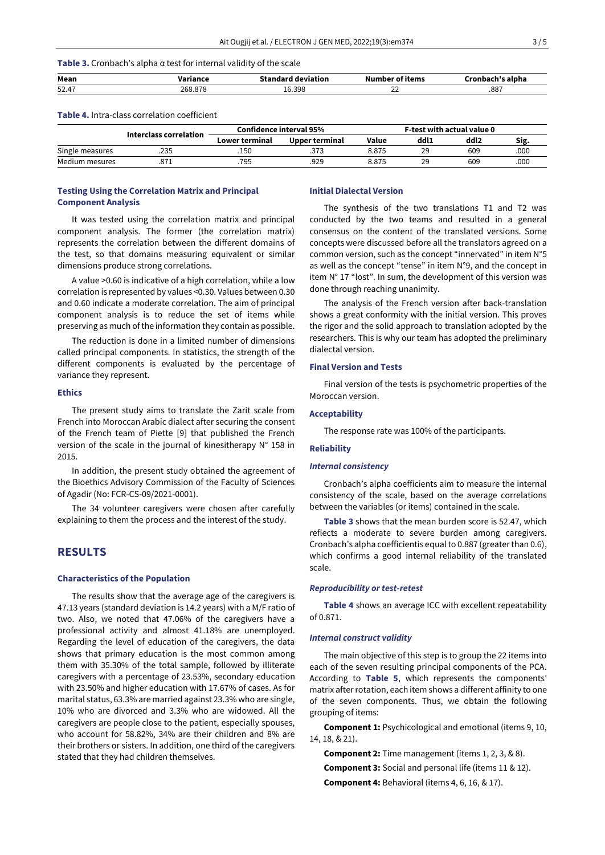## **Table 3.** Cronbach's alpha α test for internal validity of the scale

| Mean  |  |                           | .           | <b>CONTRACT</b> |
|-------|--|---------------------------|-------------|-----------------|
| 52.47 |  | 16.398<br>16 <sup>.</sup> | $\sim$<br>∸ | .887            |
|       |  |                           |             |                 |

#### **Table 4.** Intra-class correlation coefficient

|                        |      | Confidence interval 95% | F-test with actual value 0 |       |      |      |      |
|------------------------|------|-------------------------|----------------------------|-------|------|------|------|
| Interclass correlation |      | Lower terminal          | Upper terminal             | Value | ddl1 | ddl2 | Sıg. |
| Single measures        | .235 | .150                    | .373                       | 8.875 | 29   | 609  | 000. |
| Medium mesures         |      | .795                    | .929                       | 8.875 | 29   | 609  | 000. |

## **Testing Using the Correlation Matrix and Principal Component Analysis**

It was tested using the correlation matrix and principal component analysis. The former (the correlation matrix) represents the correlation between the different domains of the test, so that domains measuring equivalent or similar dimensions produce strong correlations.

A value >0.60 is indicative of a high correlation, while a low correlation is represented by values <0.30. Values between 0.30 and 0.60 indicate a moderate correlation. The aim of principal component analysis is to reduce the set of items while preserving as much of the information they contain as possible.

The reduction is done in a limited number of dimensions called principal components. In statistics, the strength of the different components is evaluated by the percentage of variance they represent.

## **Ethics**

The present study aims to translate the Zarit scale from French into Moroccan Arabic dialect after securing the consent of the French team of Piette [9] that published the French version of the scale in the journal of kinesitherapy N° 158 in 2015.

In addition, the present study obtained the agreement of the Bioethics Advisory Commission of the Faculty of Sciences of Agadir (No: FCR-CS-09/2021-0001).

The 34 volunteer caregivers were chosen after carefully explaining to them the process and the interest of the study.

# **RESULTS**

#### **Characteristics of the Population**

The results show that the average age of the caregivers is 47.13 years (standard deviation is 14.2 years) with a M/F ratio of two. Also, we noted that 47.06% of the caregivers have a professional activity and almost 41.18% are unemployed. Regarding the level of education of the caregivers, the data shows that primary education is the most common among them with 35.30% of the total sample, followed by illiterate caregivers with a percentage of 23.53%, secondary education with 23.50% and higher education with 17.67% of cases. As for marital status, 63.3% are married against 23.3% who are single, 10% who are divorced and 3.3% who are widowed. All the caregivers are people close to the patient, especially spouses, who account for 58.82%, 34% are their children and 8% are their brothers or sisters. In addition, one third of the caregivers stated that they had children themselves.

#### **Initial Dialectal Version**

The synthesis of the two translations T1 and T2 was conducted by the two teams and resulted in a general consensus on the content of the translated versions. Some concepts were discussed before all the translators agreed on a common version, such as the concept "innervated" in item N°5 as well as the concept "tense" in item N°9, and the concept in item N° 17 "lost". In sum, the development of this version was done through reaching unanimity.

The analysis of the French version after back-translation shows a great conformity with the initial version. This proves the rigor and the solid approach to translation adopted by the researchers. This is why our team has adopted the preliminary dialectal version.

#### **Final Version and Tests**

Final version of the tests is psychometric properties of the Moroccan version.

#### **Acceptability**

The response rate was 100% of the participants.

## **Reliability**

#### *Internal consistency*

Cronbach's alpha coefficients aim to measure the internal consistency of the scale, based on the average correlations between the variables (or items) contained in the scale.

**Table 3** shows that the mean burden score is 52.47, which reflects a moderate to severe burden among caregivers. Cronbach's alpha coefficientis equal to 0.887 (greater than 0.6), which confirms a good internal reliability of the translated scale.

#### *Reproducibility or test-retest*

**Table 4** shows an average ICC with excellent repeatability of 0.871.

## *Internal construct validity*

The main objective of this step is to group the 22 items into each of the seven resulting principal components of the PCA. According to **Table 5**, which represents the components' matrix after rotation, each item shows a different affinity to one of the seven components. Thus, we obtain the following grouping of items:

**Component 1:** Psychicological and emotional (items 9, 10, 14, 18, & 21).

**Component 2:** Time management (items 1, 2, 3, & 8). **Component 3:** Social and personal life (items 11 & 12). **Component 4:** Behavioral (items 4, 6, 16, & 17).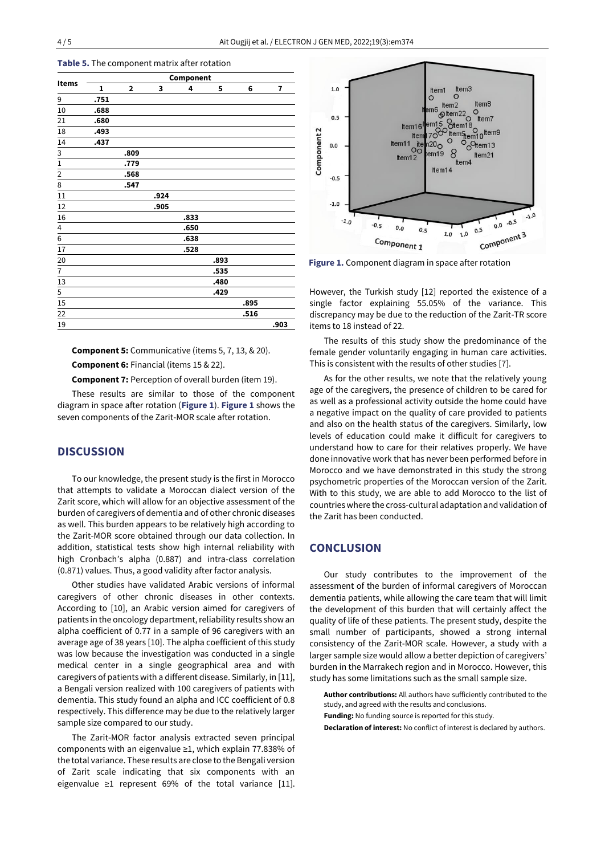| $\mathbf{1}$ | $\overline{\mathbf{2}}$ |      |      |      | Component |      |  |  |  |  |  |  |
|--------------|-------------------------|------|------|------|-----------|------|--|--|--|--|--|--|
|              |                         | 3    | 4    | 5    | 6         | 7    |  |  |  |  |  |  |
| .751         |                         |      |      |      |           |      |  |  |  |  |  |  |
| .688         |                         |      |      |      |           |      |  |  |  |  |  |  |
| .680         |                         |      |      |      |           |      |  |  |  |  |  |  |
| .493         |                         |      |      |      |           |      |  |  |  |  |  |  |
| .437         |                         |      |      |      |           |      |  |  |  |  |  |  |
|              | .809                    |      |      |      |           |      |  |  |  |  |  |  |
|              | .779                    |      |      |      |           |      |  |  |  |  |  |  |
|              | .568                    |      |      |      |           |      |  |  |  |  |  |  |
|              | .547                    |      |      |      |           |      |  |  |  |  |  |  |
|              |                         | .924 |      |      |           |      |  |  |  |  |  |  |
|              |                         | .905 |      |      |           |      |  |  |  |  |  |  |
|              |                         |      | .833 |      |           |      |  |  |  |  |  |  |
|              |                         |      | .650 |      |           |      |  |  |  |  |  |  |
|              |                         |      | .638 |      |           |      |  |  |  |  |  |  |
|              |                         |      | .528 |      |           |      |  |  |  |  |  |  |
|              |                         |      |      | .893 |           |      |  |  |  |  |  |  |
|              |                         |      |      | .535 |           |      |  |  |  |  |  |  |
|              |                         |      |      | .480 |           |      |  |  |  |  |  |  |
|              |                         |      |      | .429 |           |      |  |  |  |  |  |  |
|              |                         |      |      |      | .895      |      |  |  |  |  |  |  |
|              |                         |      |      |      | .516      |      |  |  |  |  |  |  |
|              |                         |      |      |      |           | .903 |  |  |  |  |  |  |
|              |                         |      |      |      |           |      |  |  |  |  |  |  |

**Table 5.** The component matrix after rotation

**Component 5:** Communicative (items 5, 7, 13, & 20).

**Component 6:** Financial (items 15 & 22).

**Component 7:** Perception of overall burden (item 19).

These results are similar to those of the component diagram in space after rotation (**Figure 1**). **Figure 1** shows the seven components of the Zarit-MOR scale after rotation.

# **DISCUSSION**

To our knowledge, the present study is the first in Morocco that attempts to validate a Moroccan dialect version of the Zarit score, which will allow for an objective assessment of the burden of caregivers of dementia and of other chronic diseases as well. This burden appears to be relatively high according to the Zarit-MOR score obtained through our data collection. In addition, statistical tests show high internal reliability with high Cronbach's alpha (0.887) and intra-class correlation (0.871) values. Thus, a good validity after factor analysis.

Other studies have validated Arabic versions of informal caregivers of other chronic diseases in other contexts. According to [10], an Arabic version aimed for caregivers of patients in the oncology department, reliability results show an alpha coefficient of 0.77 in a sample of 96 caregivers with an average age of 38 years [10]. The alpha coefficient of this study was low because the investigation was conducted in a single medical center in a single geographical area and with caregivers of patients with a different disease. Similarly, in [11], a Bengali version realized with 100 caregivers of patients with dementia. This study found an alpha and ICC coefficient of 0.8 respectively. This difference may be due to the relatively larger sample size compared to our study.

The Zarit-MOR factor analysis extracted seven principal components with an eigenvalue ≥1, which explain 77.838% of the total variance. These results are close to the Bengali version of Zarit scale indicating that six components with an eigenvalue ≥1 represent 69% of the total variance [11].



**Figure 1.** Component diagram in space after rotation

However, the Turkish study [12] reported the existence of a single factor explaining 55.05% of the variance. This discrepancy may be due to the reduction of the Zarit-TR score items to 18 instead of 22.

The results of this study show the predominance of the female gender voluntarily engaging in human care activities. This is consistent with the results of other studies [7].

As for the other results, we note that the relatively young age of the caregivers, the presence of children to be cared for as well as a professional activity outside the home could have a negative impact on the quality of care provided to patients and also on the health status of the caregivers. Similarly, low levels of education could make it difficult for caregivers to understand how to care for their relatives properly. We have done innovative work that has never been performed before in Morocco and we have demonstrated in this study the strong psychometric properties of the Moroccan version of the Zarit. With to this study, we are able to add Morocco to the list of countries where the cross-cultural adaptation and validation of the Zarit has been conducted.

# **CONCLUSION**

Our study contributes to the improvement of the assessment of the burden of informal caregivers of Moroccan dementia patients, while allowing the care team that will limit the development of this burden that will certainly affect the quality of life of these patients. The present study, despite the small number of participants, showed a strong internal consistency of the Zarit-MOR scale. However, a study with a larger sample size would allow a better depiction of caregivers' burden in the Marrakech region and in Morocco. However, this study has some limitations such as the small sample size.

**Author contributions:** All authors have sufficiently contributed to the study, and agreed with the results and conclusions.

**Funding:** No funding source is reported for this study.

**Declaration of interest:** No conflict of interest is declared by authors.